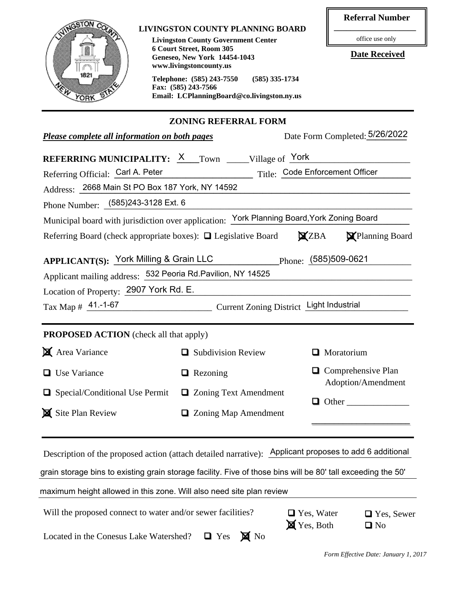| VINGSTON CO                                                                                                  | <b>LIVINGSTON COUNTY PLANNING BOARD</b>                              |                        | <b>Referral Number</b>                                          |  |  |  |
|--------------------------------------------------------------------------------------------------------------|----------------------------------------------------------------------|------------------------|-----------------------------------------------------------------|--|--|--|
| <b>Livingston County Government Center</b>                                                                   |                                                                      |                        | office use only                                                 |  |  |  |
| 6 Court Street, Room 305<br><b>Geneseo, New York 14454-1043</b>                                              |                                                                      | <b>Date Received</b>   |                                                                 |  |  |  |
| 1821                                                                                                         | www.livingstoncounty.us                                              |                        |                                                                 |  |  |  |
|                                                                                                              | Telephone: (585) 243-7550<br>$(585)$ 335-1734<br>Fax: (585) 243-7566 |                        |                                                                 |  |  |  |
| YORK                                                                                                         | Email: LCPlanningBoard@co.livingston.ny.us                           |                        |                                                                 |  |  |  |
|                                                                                                              | <b>ZONING REFERRAL FORM</b>                                          |                        |                                                                 |  |  |  |
| Date Form Completed: 5/26/2022<br>Please complete all information on both pages                              |                                                                      |                        |                                                                 |  |  |  |
| <b>REFERRING MUNICIPALITY:</b> X Town _____Village of York                                                   |                                                                      |                        |                                                                 |  |  |  |
| Referring Official: Carl A. Peter                                                                            | Title: Code Enforcement Officer                                      |                        |                                                                 |  |  |  |
| Address: 2668 Main St PO Box 187 York, NY 14592                                                              |                                                                      |                        |                                                                 |  |  |  |
| Phone Number: (585)243-3128 Ext. 6                                                                           |                                                                      |                        |                                                                 |  |  |  |
| Municipal board with jurisdiction over application: York Planning Board, York Zoning Board                   |                                                                      |                        |                                                                 |  |  |  |
| Referring Board (check appropriate boxes): $\Box$ Legislative Board $\Box$ ZBA                               |                                                                      |                        | Planning Board                                                  |  |  |  |
|                                                                                                              |                                                                      |                        |                                                                 |  |  |  |
| APPLICANT(S): York Milling & Grain LLC                                                                       | Phone: (585)509-0621                                                 |                        |                                                                 |  |  |  |
| Applicant mailing address: 532 Peoria Rd. Pavilion, NY 14525                                                 |                                                                      |                        |                                                                 |  |  |  |
| Location of Property: 2907 York Rd. E.                                                                       |                                                                      |                        |                                                                 |  |  |  |
| Tax Map # 41.-1-67                                                                                           | Current Zoning District Light Industrial                             |                        |                                                                 |  |  |  |
| <b>PROPOSED ACTION</b> (check all that apply)                                                                |                                                                      |                        |                                                                 |  |  |  |
| <b>X</b> Area Variance                                                                                       | Subdivision Review                                                   |                        | <b>Moratorium</b>                                               |  |  |  |
| <b>Use Variance</b>                                                                                          | $\Box$ Rezoning                                                      |                        | $\Box$ Comprehensive Plan<br>Adoption/Amendment<br>$\Box$ Other |  |  |  |
| Special/Conditional Use Permit                                                                               | <b>□</b> Zoning Text Amendment                                       |                        |                                                                 |  |  |  |
| Site Plan Review                                                                                             | □ Zoning Map Amendment                                               |                        |                                                                 |  |  |  |
|                                                                                                              |                                                                      |                        |                                                                 |  |  |  |
| Description of the proposed action (attach detailed narrative): Applicant proposes to add 6 additional       |                                                                      |                        |                                                                 |  |  |  |
| grain storage bins to existing grain storage facility. Five of those bins will be 80' tall exceeding the 50' |                                                                      |                        |                                                                 |  |  |  |
| maximum height allowed in this zone. Will also need site plan review                                         |                                                                      |                        |                                                                 |  |  |  |
| Will the proposed connect to water and/or sewer facilities?                                                  |                                                                      | $\Box$ Yes, Water      | □ Yes, Sewer                                                    |  |  |  |
| Located in the Conesus Lake Watershed?                                                                       | $\blacksquare$ No<br>$\Box$ Yes                                      | $\mathbf{X}$ Yes, Both | $\Box$ No                                                       |  |  |  |